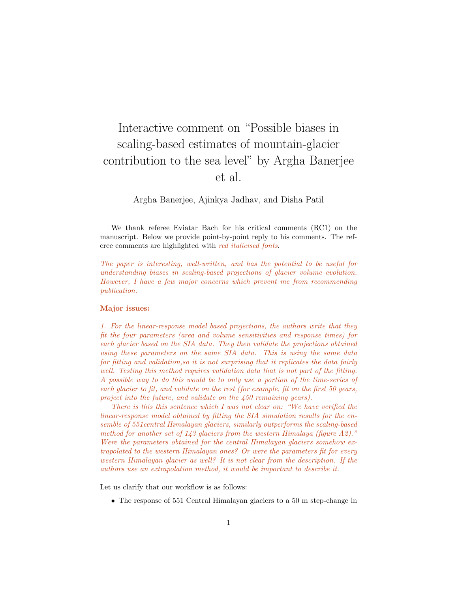# Interactive comment on "Possible biases in scaling-based estimates of mountain-glacier contribution to the sea level" by Argha Banerjee et al.

Argha Banerjee, Ajinkya Jadhav, and Disha Patil

We thank referee Eviatar Bach for his critical comments (RC1) on the manuscript. Below we provide point-by-point reply to his comments. The referee comments are highlighted with red italicised fonts.

The paper is interesting, well-written, and has the potential to be useful for understanding biases in scaling-based projections of glacier volume evolution. However, I have a few major concerns which prevent me from recommending publication.

### Major issues:

1. For the linear-response model based projections, the authors write that they fit the four parameters (area and volume sensitivities and response times) for each glacier based on the SIA data. They then validate the projections obtained using these parameters on the same SIA data. This is using the same data for fitting and validation,so it is not surprising that it replicates the data fairly well. Testing this method requires validation data that is not part of the fitting. A possible way to do this would be to only use a portion of the time-series of each glacier to fit, and validate on the rest (for example, fit on the first 50 years, project into the future, and validate on the 450 remaining years).

There is this this sentence which I was not clear on: "We have verified the linear-response model obtained by fitting the SIA simulation results for the ensemble of 551central Himalayan glaciers, similarly outperforms the scaling-based method for another set of 143 glaciers from the western Himalaya (figure A2)." Were the parameters obtained for the central Himalayan glaciers somehow extrapolated to the western Himalayan ones? Or were the parameters fit for every western Himalayan glacier as well? It is not clear from the description. If the authors use an extrapolation method, it would be important to describe it.

Let us clarify that our workflow is as follows:

• The response of 551 Central Himalayan glaciers to a 50 m step-change in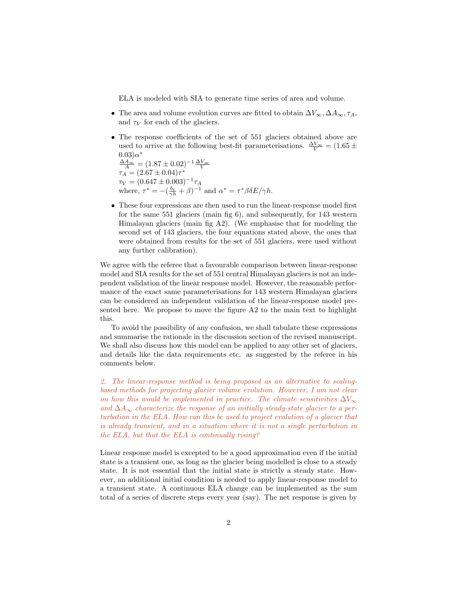ELA is modeled with SIA to generate time series of area and volume.

- The area and volume evolution curves are fitted to obtain  $\Delta V_{\infty}, \Delta A_{\infty}, \tau_A$ , and  $\tau_V$  for each of the glaciers.
- The response coefficients of the set of 551 glaciers obtained above are used to arrive at the following best-fit parameterisations.  $\frac{\Delta V_{\infty}}{V} = (1.65 \pm$  $(0.03)\alpha^*$  $\frac{\Delta A_{\infty}}{A} = (1.87 \pm 0.02)^{-1} \frac{\Delta V_{\infty}}{V}$  $\tau_A = (2.67 \pm 0.04)\tau^*$  $\tau_V = (0.647 \pm 0.003)^{-1} \tau_A$ where,  $\tau^* = -(\frac{b_t}{\gamma h} + \beta)^{-1}$  and  $\alpha^* = \tau^* \beta \delta E / \gamma h$ .
- These four expressions are then used to run the linear-response model first for the same 551 glaciers (main fig 6), and subsequently, for 143 western Himalayan glaciers (main fig A2). (We emphasise that for modeling the second set of 143 glaciers, the four equations stated above, the ones that were obtained from results for the set of 551 glaciers, were used without any further calibration).

We agree with the referee that a favourable comparison between linear-response model and SIA results for the set of 551 central Himalayan glaciers is not an independent validation of the linear response model. However, the reasonable performance of the exact same parameterisations for 143 western Himalayan glaciers can be considered an independent validation of the linear-response model presented here. We propose to move the figure A2 to the main text to highlight this.

To avoid the possibility of any confusion, we shall tabulate these expressions and summarise the rationale in the discussion section of the revised manuscript. We shall also discuss how this model can be applied to any other set of glaciers, and details like the data requirements etc. as suggested by the referee in his comments below.

2. The linear-response method is being proposed as an alternative to scalingbased methods for projecting glacier volume evolution. However, I am not clear on how this would be implemented in practice. The climate sensitivities  $\Delta V_{\infty}$ and  $\Delta A_{\infty}$  characterize the response of an initially steady-state glacier to a perturbation in the ELA. How can this be used to project evolution of a glacier that is already transient, and in a situation where it is not a single perturbation in the ELA, but that the ELA is continually rising?

Linear response model is excepted to be a good approximation even if the initial state is a transient one, as long as the glacier being modelled is close to a steady state. It is not essential that the initial state is strictly a steady state. However, an additional initial condition is needed to apply linear-response model to a transient state. A continuous ELA change can be implemented as the sum total of a series of discrete steps every year (say). The net response is given by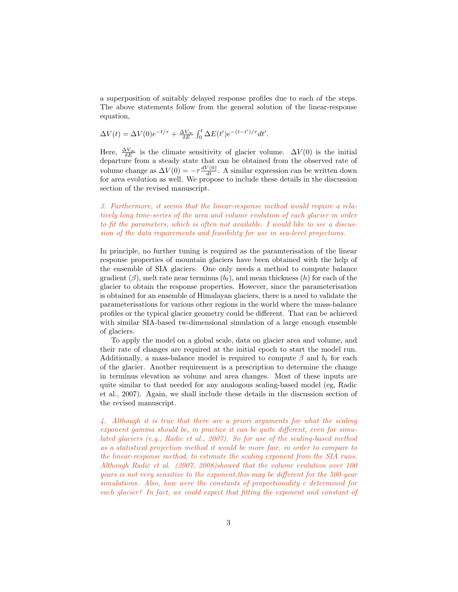a superposition of suitably delayed response profiles due to each of the steps. The above statements follow from the general solution of the linear-response equation,

$$
\Delta V(t) = \Delta V(0)e^{-t/\tau} + \frac{\Delta V_{\infty}}{\delta E} \int_0^t \Delta E(t')e^{-(t-t')/\tau}dt'.
$$

Here,  $\frac{\Delta V_{\infty}}{\delta E}$  is the climate sensitivity of glacier volume.  $\Delta V(0)$  is the initial departure from a steady state that can be obtained from the observed rate of volume change as  $\Delta V(0) = -\tau \frac{dV(0)}{dt}$ . A similar expression can be written down for area evolution as well. We propose to include these details in the discussion section of the revised manuscript.

3. Furthermore, it seems that the linear-response method would require a relatively long time-series of the area and volume evolution of each glacier in order to fit the parameters, which is often not available. I would like to see a discussion of the data requirements and feasibility for use in sea-level projections.

In principle, no further tuning is required as the paramterisation of the linear response properties of mountain glaciers have been obtained with the help of the ensemble of SIA glaciers. One only needs a method to compute balance gradient  $(\beta)$ , melt rate near terminus  $(b_t)$ , and mean thickness  $(h)$  for each of the glacier to obtain the response properties. However, since the parameterisation is obtained for an ensemble of Himalayan glaciers, there is a need to validate the parameterisations for various other regions in the world where the mass-balance profiles or the typical glacier geometry could be different. That can be achieved with similar SIA-based tw-dimensional simulation of a large enough ensemble of glaciers.

To apply the model on a global scale, data on glacier area and volume, and their rate of changes are required at the initial epoch to start the model run. Additionally, a mass-balance model is required to compute  $\beta$  and  $b_t$  for each of the glacier. Another requirement is a prescription to determine the change in terminus elevation as volume and area changes. Most of these inputs are quite similar to that needed for any analogous scaling-based model (eg, Radic et al., 2007). Again, we shall include these details in the discussion section of the revised manuscript.

4. Although it is true that there are a priori arguments for what the scaling exponent gamma should be, in practice it can be quite different, even for simulated glaciers (e.g., Radic et al., 2007). So for use of the scaling-based method as a statistical projection method it would be more fair, in order to compare to the linear-response method, to estimate the scaling exponent from the SIA runs. Although Radic et al. (2007, 2008)showed that the volume evolution over 100 years is not very sensitive to the exponent,this may be different for the 500-year simulations. Also, how were the constants of proportionality c determined for each glacier? In fact, we could expect that fitting the exponent and constant of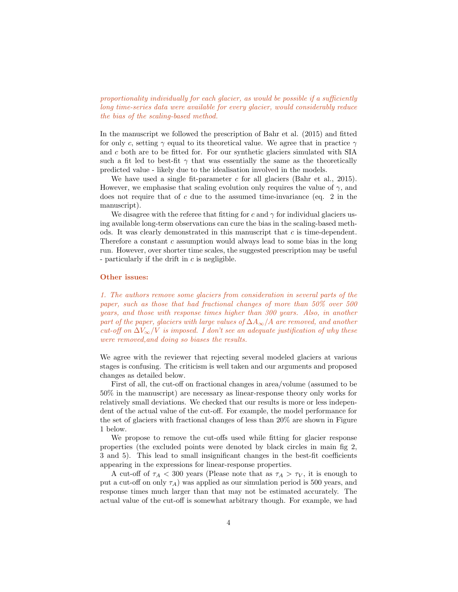proportionality individually for each glacier, as would be possible if a sufficiently long time-series data were available for every glacier, would considerably reduce the bias of the scaling-based method.

In the manuscript we followed the prescription of Bahr et al. (2015) and fitted for only c, setting  $\gamma$  equal to its theoretical value. We agree that in practice  $\gamma$ and c both are to be fitted for. For our synthetic glaciers simulated with SIA such a fit led to best-fit  $\gamma$  that was essentially the same as the theoretically predicted value - likely due to the idealisation involved in the models.

We have used a single fit-parameter  $c$  for all glaciers (Bahr et al., 2015). However, we emphasise that scaling evolution only requires the value of  $\gamma$ , and does not require that of  $c$  due to the assumed time-invariance (eq. 2 in the manuscript).

We disagree with the referee that fitting for c and  $\gamma$  for individual glaciers using available long-term observations can cure the bias in the scaling-based methods. It was clearly demonstrated in this manuscript that c is time-dependent. Therefore a constant  $c$  assumption would always lead to some bias in the long run. However, over shorter time scales, the suggested prescription may be useful - particularly if the drift in  $c$  is negligible.

#### Other issues:

1. The authors remove some glaciers from consideration in several parts of the paper, such as those that had fractional changes of more than 50% over 500 years, and those with response times higher than 300 years. Also, in another part of the paper, glaciers with large values of  $\Delta A_{\infty}/A$  are removed, and another cut-off on  $\Delta V_{\infty}/V$  is imposed. I don't see an adequate justification of why these were removed,and doing so biases the results.

We agree with the reviewer that rejecting several modeled glaciers at various stages is confusing. The criticism is well taken and our arguments and proposed changes as detailed below.

First of all, the cut-off on fractional changes in area/volume (assumed to be 50% in the manuscript) are necessary as linear-response theory only works for relatively small deviations. We checked that our results is more or less independent of the actual value of the cut-off. For example, the model performance for the set of glaciers with fractional changes of less than 20% are shown in Figure 1 below.

We propose to remove the cut-offs used while fitting for glacier response properties (the excluded points were denoted by black circles in main fig 2, 3 and 5). This lead to small insignificant changes in the best-fit coefficients appearing in the expressions for linear-response properties.

A cut-off of  $\tau_A < 300$  years (Please note that as  $\tau_A > \tau_V$ , it is enough to put a cut-off on only  $\tau_A$ ) was applied as our simulation period is 500 years, and response times much larger than that may not be estimated accurately. The actual value of the cut-off is somewhat arbitrary though. For example, we had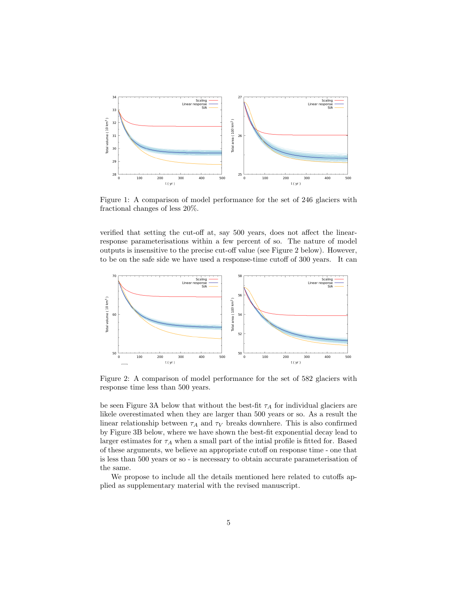

Figure 1: A comparison of model performance for the set of 246 glaciers with fractional changes of less 20%.

verified that setting the cut-off at, say 500 years, does not affect the linearresponse parameterisations within a few percent of so. The nature of model outputs is insensitive to the precise cut-off value (see Figure 2 below). However, to be on the safe side we have used a response-time cutoff of 300 years. It can



Figure 2: A comparison of model performance for the set of 582 glaciers with response time less than 500 years.

be seen Figure 3A below that without the best-fit  $\tau_A$  for individual glaciers are likele overestimated when they are larger than 500 years or so. As a result the linear relationship between  $\tau_A$  and  $\tau_V$  breaks downhere. This is also confirmed by Figure 3B below, where we have shown the best-fit exponential decay lead to larger estimates for  $\tau_A$  when a small part of the intial profile is fitted for. Based of these arguments, we believe an appropriate cutoff on response time - one that is less than 500 years or so - is necessary to obtain accurate parameterisation of the same.

We propose to include all the details mentioned here related to cutoffs applied as supplementary material with the revised manuscript.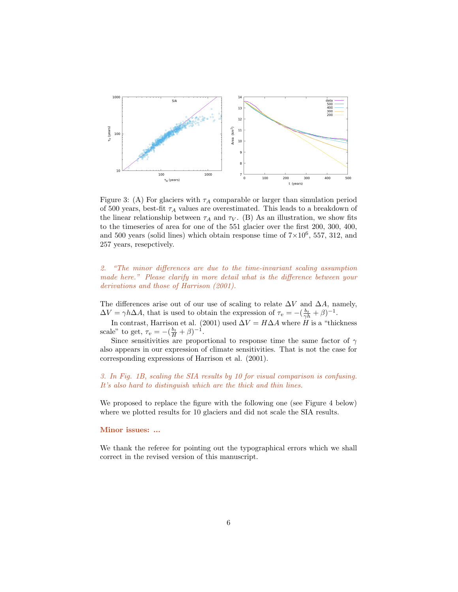

Figure 3: (A) For glaciers with  $\tau_A$  comparable or larger than simulation period of 500 years, best-fit  $\tau_A$  values are overestimated. This leads to a breakdown of the linear relationship between  $\tau_A$  and  $\tau_V$ . (B) As an illustration, we show fits to the timeseries of area for one of the 551 glacier over the first 200, 300, 400, and 500 years (solid lines) which obtain response time of  $7 \times 10^6$ , 557, 312, and 257 years, resepctively.

## 2. "The minor differences are due to the time-invariant scaling assumption made here." Please clarify in more detail what is the difference between your derivations and those of Harrison (2001).

The differences arise out of our use of scaling to relate  $\Delta V$  and  $\Delta A$ , namely,  $\Delta V = \gamma h \Delta A$ , that is used to obtain the expression of  $\tau_v = -(\frac{b_t}{\gamma h} + \beta)^{-1}$ .

In contrast, Harrison et al. (2001) used  $\Delta V = H \Delta A$  where H is a "thickness" scale" to get,  $\tau_v = -(\frac{b_t}{H} + \beta)^{-1}$ .

Since sensitivities are proportional to response time the same factor of  $\gamma$ also appears in our expression of climate sensitivities. That is not the case for corresponding expressions of Harrison et al. (2001).

## 3. In Fig. 1B, scaling the SIA results by 10 for visual comparison is confusing. It's also hard to distinguish which are the thick and thin lines.

We proposed to replace the figure with the following one (see Figure 4 below) where we plotted results for 10 glaciers and did not scale the SIA results.

#### Minor issues: ...

We thank the referee for pointing out the typographical errors which we shall correct in the revised version of this manuscript.